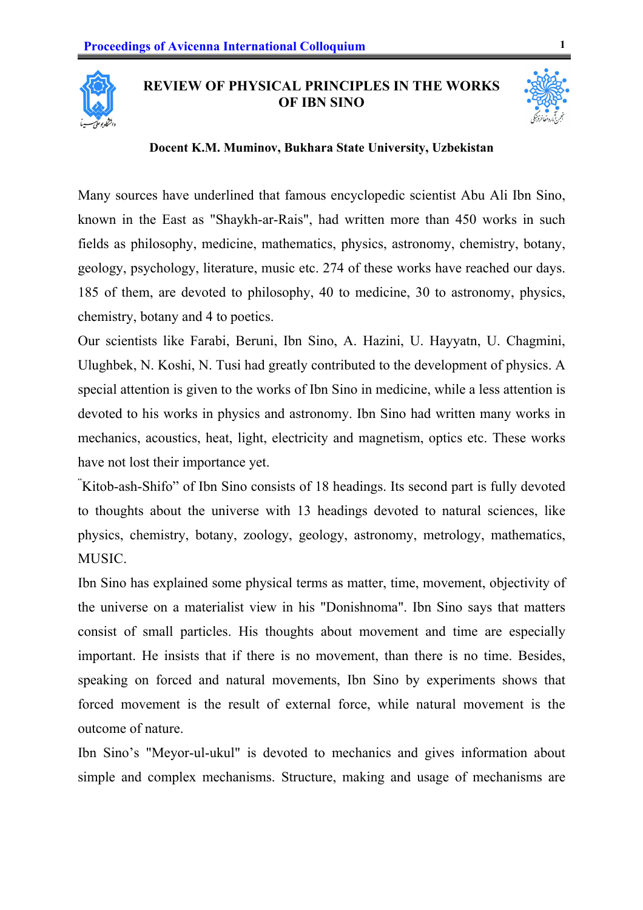

## **REVIEW OF PHYSICAL PRINCIPLES IN THE WORKS OF IBN SINO**



## **Docent K.M. Muminov, Bukhara State University, Uzbekistan**

Many sources have underlined that famous encyclopedic scientist Abu Ali Ibn Sino, known in the East as "Shaykh-ar-Rais", had written more than 450 works in such fields as philosophy, medicine, mathematics, physics, astronomy, chemistry, botany, geology, psychology, literature, music etc. 274 of these works have reached our days. 185 of them, are devoted to philosophy, 40 to medicine, 30 to astronomy, physics, chemistry, botany and 4 to poetics.

Our scientists like Farabi, Beruni, Ibn Sino, A. Hazini, U. Hayyatn, U. Chagmini, Ulughbek, N. Koshi, N. Tusi had greatly contributed to the development of physics. A special attention is given to the works of Ibn Sino in medicine, while a less attention is devoted to his works in physics and astronomy. Ibn Sino had written many works in mechanics, acoustics, heat, light, electricity and magnetism, optics etc. These works have not lost their importance yet.

" Kitob-ash-Shifo" of Ibn Sino consists of 18 headings. Its second part is fully devoted to thoughts about the universe with 13 headings devoted to natural sciences, like physics, chemistry, botany, zoology, geology, astronomy, metrology, mathematics, MUSIC.

Ibn Sino has explained some physical terms as matter, time, movement, objectivity of the universe on a materialist view in his "Donishnoma". Ibn Sino says that matters consist of small particles. His thoughts about movement and time are especially important. He insists that if there is no movement, than there is no time. Besides, speaking on forced and natural movements, Ibn Sino by experiments shows that forced movement is the result of external force, while natural movement is the outcome of nature.

Ibn Sino's "Meyor-ul-ukul" is devoted to mechanics and gives information about simple and complex mechanisms. Structure, making and usage of mechanisms are